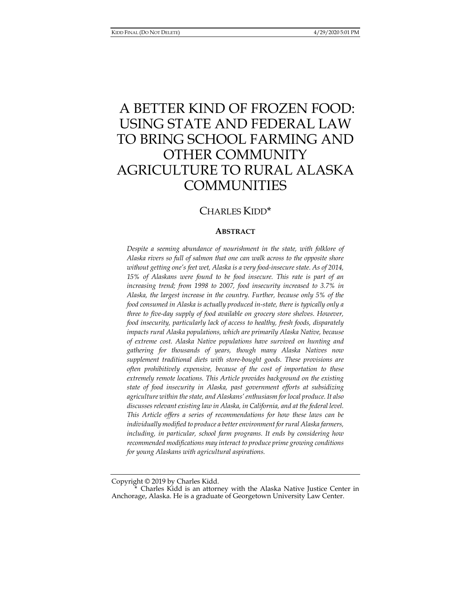# A BETTER KIND OF FROZEN FOOD: USING STATE AND FEDERAL LAW TO BRING SCHOOL FARMING AND OTHER COMMUNITY AGRICULTURE TO RURAL ALASKA **COMMUNITIES**

## CHARLES KIDD\*

#### **ABSTRACT**

Despite a seeming abundance of nourishment in the state, with folklore of *Alaska rivers so full of salmon that one can walk across to the opposite shore without getting one's feet wet, Alaska is a very food-insecure state. As of 2014, 15% of Alaskans were found to be food insecure. This rate is part of an increasing trend; from 1998 to 2007, food insecurity increased to 3.7% in Alaska, the largest increase in the country. Further, because only 5% of the food consumed in Alaska is actually produced in-state, there is typically only a three to five-day supply of food available on grocery store shelves. However, food insecurity, particularly lack of access to healthy, fresh foods, disparately impacts rural Alaska populations, which are primarily Alaska Native, because of extreme cost. Alaska Native populations have survived on hunting and gathering for thousands of years, though many Alaska Natives now supplement traditional diets with store-bought goods. These provisions are often prohibitively expensive, because of the cost of importation to these extremely remote locations. This Article provides background on the existing state of food insecurity in Alaska, past government efforts at subsidizing agriculture within the state, and Alaskans' enthusiasm for local produce. It also discusses relevant existing law in Alaska, in California, and at the federal level. This Article offers a series of recommendations for how these laws can be individually modified to produce a better environment for rural Alaska farmers, including, in particular, school farm programs. It ends by considering how recommended modifications may interact to produce prime growing conditions for young Alaskans with agricultural aspirations.* 

Copyright © 2019 by Charles Kidd.

Charles Kidd is an attorney with the Alaska Native Justice Center in Anchorage, Alaska. He is a graduate of Georgetown University Law Center.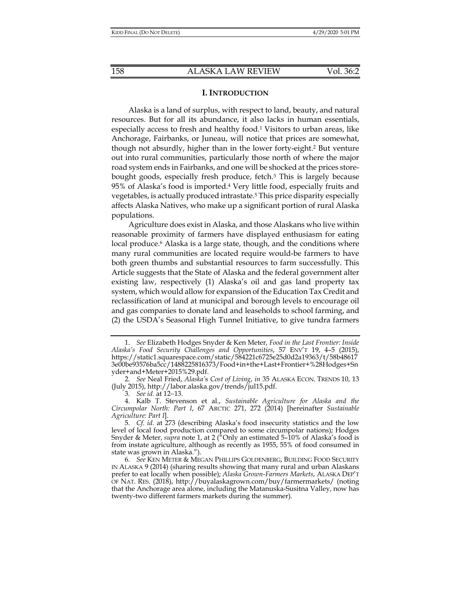#### **I. INTRODUCTION**

Alaska is a land of surplus, with respect to land, beauty, and natural resources. But for all its abundance, it also lacks in human essentials, especially access to fresh and healthy food.<sup>1</sup> Visitors to urban areas, like Anchorage, Fairbanks, or Juneau, will notice that prices are somewhat, though not absurdly, higher than in the lower forty-eight.2 But venture out into rural communities, particularly those north of where the major road system ends in Fairbanks, and one will be shocked at the prices storebought goods, especially fresh produce, fetch.3 This is largely because 95% of Alaska's food is imported.4 Very little food, especially fruits and vegetables, is actually produced intrastate.5 This price disparity especially affects Alaska Natives, who make up a significant portion of rural Alaska populations.

Agriculture does exist in Alaska, and those Alaskans who live within reasonable proximity of farmers have displayed enthusiasm for eating local produce.<sup>6</sup> Alaska is a large state, though, and the conditions where many rural communities are located require would-be farmers to have both green thumbs and substantial resources to farm successfully. This Article suggests that the State of Alaska and the federal government alter existing law, respectively (1) Alaska's oil and gas land property tax system, which would allow for expansion of the Education Tax Credit and reclassification of land at municipal and borough levels to encourage oil and gas companies to donate land and leaseholds to school farming, and (2) the USDA's Seasonal High Tunnel Initiative, to give tundra farmers

 <sup>1.</sup> *See* Elizabeth Hodges Snyder & Ken Meter, *Food in the Last Frontier: Inside Alaska's Food Security Challenges and Opportunities*, 57 ENV'T 19, 4–5 (2015), https://static1.squarespace.com/static/584221c6725e25d0d2a19363/t/58b48617 3e00be93576ba5cc/1488225816373/Food+in+the+Last+Frontier+%28Hodges+Sn yder+and+Meter+2015%29.pdf.

 <sup>2.</sup> *See* Neal Fried, *Alaska'*s *Cost of Living*, *in* 35 ALASKA ECON. TRENDS 10, 13 (July 2015), http://labor.alaska.gov/trends/jul15.pdf.

<sup>3</sup>*. See id.* at 12−13.

 <sup>4.</sup> Kalb T. Stevenson et al., *Sustainable Agriculture for Alaska and the Circumpolar North: Part I*, 67 ARCTIC 271, 272 (2014) [hereinafter *Sustainable Agriculture: Part I*].

 <sup>5.</sup> *Cf. id.* at 273 (describing Alaska's food insecurity statistics and the low level of local food production compared to some circumpolar nations); Hodges Snyder & Meter, *supra* note 1, at 2 ("Only an estimated 5–10% of Alaska's food is from instate agriculture, although as recently as 1955, 55% of food consumed in state was grown in Alaska.").

 <sup>6.</sup> *See* KEN METER & MEGAN PHILLIPS GOLDENBERG, BUILDING FOOD SECURITY IN ALASKA 9 (2014) (sharing results showing that many rural and urban Alaskans prefer to eat locally when possible); *Alaska Grown-Farmers Markets*, ALASKA DEP'T OF NAT. RES. (2018), http://buyalaskagrown.com/buy/farmermarkets/ (noting that the Anchorage area alone, including the Matanuska-Susitna Valley, now has twenty-two different farmers markets during the summer).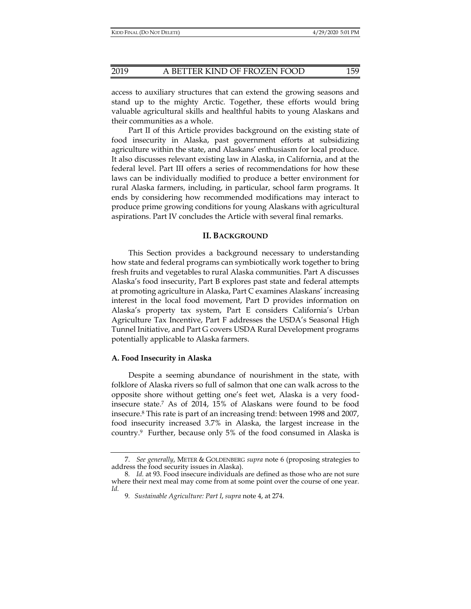access to auxiliary structures that can extend the growing seasons and stand up to the mighty Arctic. Together, these efforts would bring valuable agricultural skills and healthful habits to young Alaskans and their communities as a whole.

Part II of this Article provides background on the existing state of food insecurity in Alaska, past government efforts at subsidizing agriculture within the state, and Alaskans' enthusiasm for local produce. It also discusses relevant existing law in Alaska, in California, and at the federal level. Part III offers a series of recommendations for how these laws can be individually modified to produce a better environment for rural Alaska farmers, including, in particular, school farm programs. It ends by considering how recommended modifications may interact to produce prime growing conditions for young Alaskans with agricultural aspirations. Part IV concludes the Article with several final remarks.

#### **II. BACKGROUND**

This Section provides a background necessary to understanding how state and federal programs can symbiotically work together to bring fresh fruits and vegetables to rural Alaska communities. Part A discusses Alaska's food insecurity, Part B explores past state and federal attempts at promoting agriculture in Alaska, Part C examines Alaskans' increasing interest in the local food movement, Part D provides information on Alaska's property tax system, Part E considers California's Urban Agriculture Tax Incentive, Part F addresses the USDA's Seasonal High Tunnel Initiative, and Part G covers USDA Rural Development programs potentially applicable to Alaska farmers.

#### **A. Food Insecurity in Alaska**

Despite a seeming abundance of nourishment in the state, with folklore of Alaska rivers so full of salmon that one can walk across to the opposite shore without getting one's feet wet, Alaska is a very foodinsecure state.7 As of 2014, 15% of Alaskans were found to be food insecure.8 This rate is part of an increasing trend: between 1998 and 2007, food insecurity increased 3.7% in Alaska, the largest increase in the country.9 Further, because only 5% of the food consumed in Alaska is

 <sup>7.</sup> *See generally*, METER & GOLDENBERG *supra* note 6 (proposing strategies to address the food security issues in Alaska).

<sup>8</sup>*. Id.* at 93. Food insecure individuals are defined as those who are not sure where their next meal may come from at some point over the course of one year. *Id.*

<sup>9</sup>*. Sustainable Agriculture: Part I*, *supra* note 4, at 274.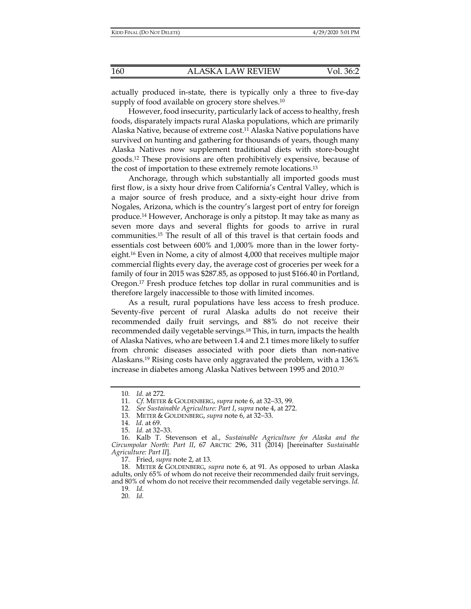actually produced in-state, there is typically only a three to five-day supply of food available on grocery store shelves.<sup>10</sup>

However, food insecurity, particularly lack of access to healthy, fresh foods, disparately impacts rural Alaska populations, which are primarily Alaska Native, because of extreme cost.11 Alaska Native populations have survived on hunting and gathering for thousands of years, though many Alaska Natives now supplement traditional diets with store-bought goods.12 These provisions are often prohibitively expensive, because of the cost of importation to these extremely remote locations.13

Anchorage, through which substantially all imported goods must first flow, is a sixty hour drive from California's Central Valley, which is a major source of fresh produce, and a sixty-eight hour drive from Nogales, Arizona, which is the country's largest port of entry for foreign produce.14 However, Anchorage is only a pitstop. It may take as many as seven more days and several flights for goods to arrive in rural communities.15 The result of all of this travel is that certain foods and essentials cost between 600% and 1,000% more than in the lower fortyeight.16 Even in Nome, a city of almost 4,000 that receives multiple major commercial flights every day, the average cost of groceries per week for a family of four in 2015 was \$287.85, as opposed to just \$166.40 in Portland, Oregon.17 Fresh produce fetches top dollar in rural communities and is therefore largely inaccessible to those with limited incomes.

As a result, rural populations have less access to fresh produce. Seventy-five percent of rural Alaska adults do not receive their recommended daily fruit servings, and 88% do not receive their recommended daily vegetable servings.18 This, in turn, impacts the health of Alaska Natives, who are between 1.4 and 2.1 times more likely to suffer from chronic diseases associated with poor diets than non-native Alaskans.19 Rising costs have only aggravated the problem, with a 136% increase in diabetes among Alaska Natives between 1995 and 2010.20

17. Fried, *supra* note 2, at 13.

 18. METER & GOLDENBERG, *supra* note 6, at 91. As opposed to urban Alaska adults, only 65% of whom do not receive their recommended daily fruit servings, and 80% of whom do not receive their recommended daily vegetable servings. *Id.* 

19*. Id.*

20. *Id.* 

<sup>10</sup>*. Id.* at 272.

 <sup>11.</sup> *Cf.* METER & GOLDENBERG, *supra* note 6, at 32−33, 99.

 <sup>12.</sup> *See Sustainable Agriculture: Part I*, *supra* note 4, at 272.

 <sup>13.</sup> METER & GOLDENBERG, *supra* note 6, at 32−33.

 <sup>14.</sup> *Id.* at 69.

 <sup>15.</sup> *Id.* at 32–33.

 <sup>16.</sup> Kalb T. Stevenson et al., *Sustainable Agriculture for Alaska and the Circumpolar North: Part II*, 67 ARCTIC 296, 311 (2014) [hereinafter *Sustainable Agriculture: Part II*].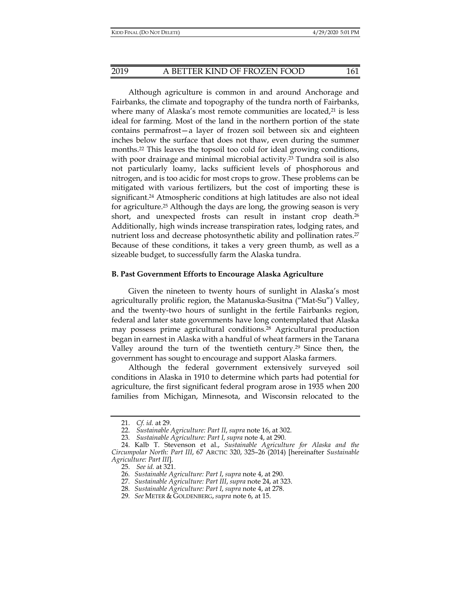Although agriculture is common in and around Anchorage and Fairbanks, the climate and topography of the tundra north of Fairbanks, where many of Alaska's most remote communities are located, $21$  is less ideal for farming. Most of the land in the northern portion of the state contains permafrost—a layer of frozen soil between six and eighteen inches below the surface that does not thaw, even during the summer months.<sup>22</sup> This leaves the topsoil too cold for ideal growing conditions, with poor drainage and minimal microbial activity.<sup>23</sup> Tundra soil is also not particularly loamy, lacks sufficient levels of phosphorous and nitrogen, and is too acidic for most crops to grow. These problems can be mitigated with various fertilizers, but the cost of importing these is significant.24 Atmospheric conditions at high latitudes are also not ideal for agriculture.25 Although the days are long, the growing season is very short, and unexpected frosts can result in instant crop death.<sup>26</sup> Additionally, high winds increase transpiration rates, lodging rates, and nutrient loss and decrease photosynthetic ability and pollination rates.<sup>27</sup> Because of these conditions, it takes a very green thumb, as well as a sizeable budget, to successfully farm the Alaska tundra.

#### **B. Past Government Efforts to Encourage Alaska Agriculture**

Given the nineteen to twenty hours of sunlight in Alaska's most agriculturally prolific region, the Matanuska-Susitna ("Mat-Su") Valley, and the twenty-two hours of sunlight in the fertile Fairbanks region, federal and later state governments have long contemplated that Alaska may possess prime agricultural conditions.28 Agricultural production began in earnest in Alaska with a handful of wheat farmers in the Tanana Valley around the turn of the twentieth century.29 Since then, the government has sought to encourage and support Alaska farmers.

Although the federal government extensively surveyed soil conditions in Alaska in 1910 to determine which parts had potential for agriculture, the first significant federal program arose in 1935 when 200 families from Michigan, Minnesota, and Wisconsin relocated to the

 <sup>21.</sup> *Cf. id.* at 29.

 <sup>22.</sup> *Sustainable Agriculture: Part II*, *supra* note 16, at 302.

<sup>23</sup>*. Sustainable Agriculture: Part I*, *supra* note 4, at 290.

 <sup>24.</sup> Kalb T. Stevenson et al., *Sustainable Agriculture for Alaska and the Circumpolar North: Part III*, 67 ARCTIC 320, 325–26 (2014) [hereinafter *Sustainable Agriculture: Part III*].

 <sup>25.</sup> *See id.* at 321.

<sup>26</sup>*. Sustainable Agriculture: Part I*, *supra* note 4, at 290.

<sup>27</sup>*. Sustainable Agriculture: Part III*, *supra* note 24, at 323.

<sup>28</sup>*. Sustainable Agriculture: Part I*, *supra* note 4, at 278.

<sup>29</sup>*. See* METER & GOLDENBERG, *supra* note 6, at 15.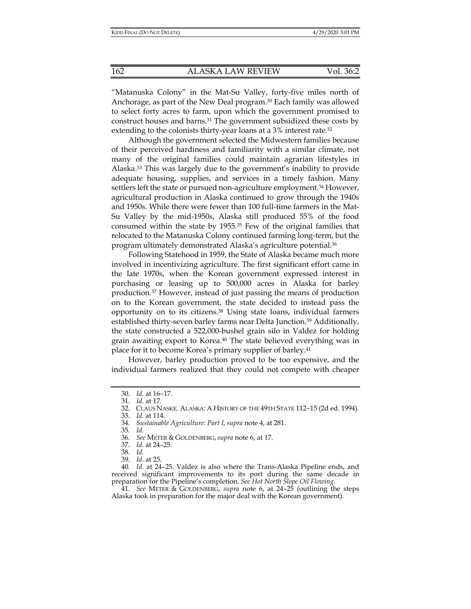"Matanuska Colony" in the Mat-Su Valley, forty-five miles north of Anchorage, as part of the New Deal program.30 Each family was allowed to select forty acres to farm, upon which the government promised to construct houses and barns.31 The government subsidized these costs by extending to the colonists thirty-year loans at a 3% interest rate.32

Although the government selected the Midwestern families because of their perceived hardiness and familiarity with a similar climate, not many of the original families could maintain agrarian lifestyles in Alaska.33 This was largely due to the government's inability to provide adequate housing, supplies, and services in a timely fashion. Many settlers left the state or pursued non-agriculture employment.<sup>34</sup> However, agricultural production in Alaska continued to grow through the 1940s and 1950s. While there were fewer than 100 full-time farmers in the Mat-Su Valley by the mid-1950s, Alaska still produced 55% of the food consumed within the state by 1955.35 Few of the original families that relocated to the Matanuska Colony continued farming long-term, but the program ultimately demonstrated Alaska's agriculture potential.36

Following Statehood in 1959, the State of Alaska became much more involved in incentivizing agriculture. The first significant effort came in the late 1970s, when the Korean government expressed interest in purchasing or leasing up to 500,000 acres in Alaska for barley production.37 However, instead of just passing the means of production on to the Korean government, the state decided to instead pass the opportunity on to its citizens.38 Using state loans, individual farmers established thirty-seven barley farms near Delta Junction.<sup>39</sup> Additionally, the state constructed a 522,000-bushel grain silo in Valdez for holding grain awaiting export to Korea.40 The state believed everything was in place for it to become Korea's primary supplier of barley.41

However, barley production proved to be too expensive, and the individual farmers realized that they could not compete with cheaper

33. *Id.* at 114*.* 

35*. Id.*

38. *Id.* 

40*. Id.* at 24–25. Valdez is also where the Trans-Alaska Pipeline ends, and received significant improvements to its port during the same decade in preparation for the Pipeline's completion. *See Hot North Slope Oil Flowing*.

 41. *See* METER & GOLDENBERG, *supra* note 6, at 24–25 (outlining the steps Alaska took in preparation for the major deal with the Korean government).

 <sup>30.</sup> *Id.* at 16−17.

 <sup>31.</sup> *Id.* at 17.

 <sup>32.</sup> CLAUS NASKE*,* ALASKA: A HISTORY OF THE 49TH STATE 112−15 (2d ed. 1994).

<sup>34</sup>*. Sustainable Agriculture: Part I*, *supra* note 4, at 281.

<sup>36</sup>*. See* METER & GOLDENBERG, *supra* note 6, at 17.

 <sup>37.</sup> *Id.* at 24–25.

 <sup>39.</sup> *Id.* at 25.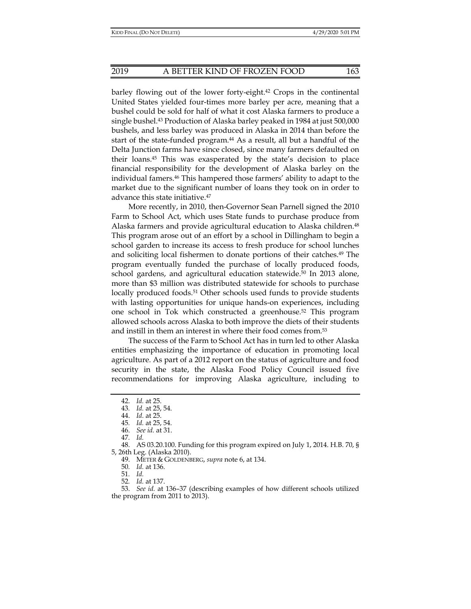barley flowing out of the lower forty-eight.42 Crops in the continental United States yielded four-times more barley per acre, meaning that a bushel could be sold for half of what it cost Alaska farmers to produce a single bushel.43 Production of Alaska barley peaked in 1984 at just 500,000 bushels, and less barley was produced in Alaska in 2014 than before the start of the state-funded program.<sup>44</sup> As a result, all but a handful of the Delta Junction farms have since closed, since many farmers defaulted on their loans.45 This was exasperated by the state's decision to place financial responsibility for the development of Alaska barley on the individual famers.46 This hampered those farmers' ability to adapt to the market due to the significant number of loans they took on in order to advance this state initiative.47

More recently, in 2010, then-Governor Sean Parnell signed the 2010 Farm to School Act, which uses State funds to purchase produce from Alaska farmers and provide agricultural education to Alaska children.48 This program arose out of an effort by a school in Dillingham to begin a school garden to increase its access to fresh produce for school lunches and soliciting local fishermen to donate portions of their catches.49 The program eventually funded the purchase of locally produced foods, school gardens, and agricultural education statewide.50 In 2013 alone, more than \$3 million was distributed statewide for schools to purchase locally produced foods.<sup>51</sup> Other schools used funds to provide students with lasting opportunities for unique hands-on experiences, including one school in Tok which constructed a greenhouse.52 This program allowed schools across Alaska to both improve the diets of their students and instill in them an interest in where their food comes from.53

The success of the Farm to School Act has in turn led to other Alaska entities emphasizing the importance of education in promoting local agriculture. As part of a 2012 report on the status of agriculture and food security in the state, the Alaska Food Policy Council issued five recommendations for improving Alaska agriculture, including to

47*. Id.*

49. METER & GOLDENBERG, *supra* note 6, at 134.

50*. Id.* at 136.

51*. Id.*

52*. Id.* at 137.

 53. *See id.* at 136–37 (describing examples of how different schools utilized the program from 2011 to 2013).

 <sup>42.</sup> *Id.* at 25.

<sup>43</sup>*. Id.* at 25, 54.

 <sup>44.</sup> *Id.* at 25.

<sup>45</sup>*. Id.* at 25, 54.

 <sup>46.</sup> *See id.* at 31.

 <sup>48.</sup> AS 03.20.100. Funding for this program expired on July 1, 2014. H.B. 70, § 5, 26th Leg. (Alaska 2010).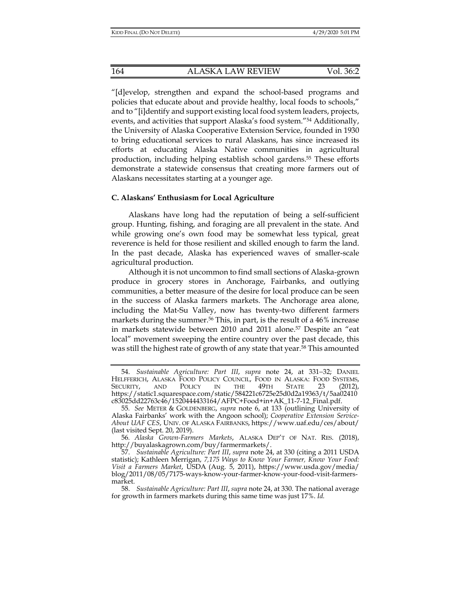"[d]evelop, strengthen and expand the school-based programs and policies that educate about and provide healthy, local foods to schools," and to "[i]dentify and support existing local food system leaders, projects, events, and activities that support Alaska's food system."54 Additionally, the University of Alaska Cooperative Extension Service, founded in 1930 to bring educational services to rural Alaskans, has since increased its efforts at educating Alaska Native communities in agricultural production, including helping establish school gardens.55 These efforts demonstrate a statewide consensus that creating more farmers out of Alaskans necessitates starting at a younger age.

#### **C. Alaskans' Enthusiasm for Local Agriculture**

Alaskans have long had the reputation of being a self-sufficient group. Hunting, fishing, and foraging are all prevalent in the state. And while growing one's own food may be somewhat less typical, great reverence is held for those resilient and skilled enough to farm the land. In the past decade, Alaska has experienced waves of smaller-scale agricultural production.

Although it is not uncommon to find small sections of Alaska-grown produce in grocery stores in Anchorage, Fairbanks, and outlying communities, a better measure of the desire for local produce can be seen in the success of Alaska farmers markets. The Anchorage area alone, including the Mat-Su Valley, now has twenty-two different farmers markets during the summer.<sup>56</sup> This, in part, is the result of a 46% increase in markets statewide between 2010 and 2011 alone.<sup>57</sup> Despite an "eat local" movement sweeping the entire country over the past decade, this was still the highest rate of growth of any state that year.<sup>58</sup> This amounted

 <sup>54.</sup> *Sustainable Agriculture: Part III*, *supra* note 24, at 331−32; DANIEL HELFFERICH, ALASKA FOOD POLICY COUNCIL, FOOD IN ALASKA: FOOD SYSTEMS, SECURITY, AND POLICY IN THE 49TH STATE 23 (2012), https://static1.squarespace.com/static/584221c6725e25d0d2a19363/t/5aa02410 c83025dd22763c46/1520444433164/AFPC+Food+in+AK\_11-7-12\_Final.pdf.

<sup>55</sup>*. See* METER & GOLDENBERG, *supra* note 6, at 133 (outlining University of Alaska Fairbanks' work with the Angoon school); *Cooperative Extension Service-About UAF CES*, UNIV. OF ALASKA FAIRBANKS, https://www.uaf.edu/ces/about/ (last visited Sept. 20, 2019).

<sup>56</sup>*. Alaska Grown-Farmers Markets*, ALASKA DEP'T OF NAT. RES. (2018), http://buyalaskagrown.com/buy/farmermarkets/.

 <sup>57.</sup> *Sustainable Agriculture: Part III*, *supra* note 24, at 330 (citing a 2011 USDA statistic); Kathleen Merrigan, *7,175 Ways to Know Your Farmer, Know Your Food: Visit a Farmers Market*, USDA (Aug. 5, 2011), https://www.usda.gov/media/ blog/2011/08/05/7175-ways-know-your-farmer-know-your-food-visit-farmersmarket.

 <sup>58.</sup> *Sustainable Agriculture: Part III*, *supra* note 24, at 330. The national average for growth in farmers markets during this same time was just 17%. *Id.*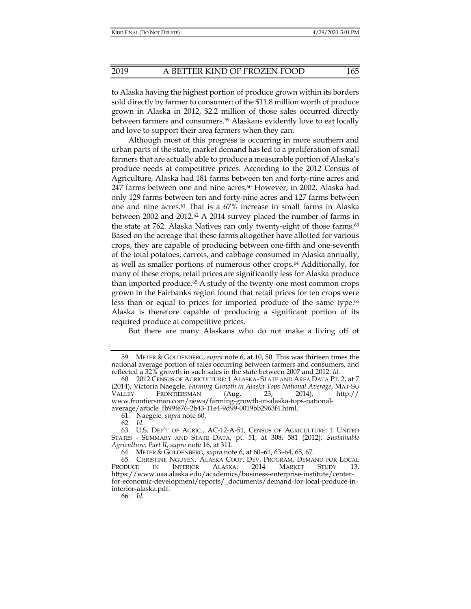to Alaska having the highest portion of produce grown within its borders sold directly by farmer to consumer: of the \$11.8 million worth of produce grown in Alaska in 2012, \$2.2 million of those sales occurred directly between farmers and consumers.59 Alaskans evidently love to eat locally and love to support their area farmers when they can.

Although most of this progress is occurring in more southern and urban parts of the state, market demand has led to a proliferation of small farmers that are actually able to produce a measurable portion of Alaska's produce needs at competitive prices. According to the 2012 Census of Agriculture, Alaska had 181 farms between ten and forty-nine acres and 247 farms between one and nine acres.<sup>60</sup> However, in 2002, Alaska had only 129 farms between ten and forty-nine acres and 127 farms between one and nine acres.61 That is a 67% increase in small farms in Alaska between 2002 and 2012.62 A 2014 survey placed the number of farms in the state at 762. Alaska Natives ran only twenty-eight of those farms.<sup>63</sup> Based on the acreage that these farms altogether have allotted for various crops, they are capable of producing between one-fifth and one-seventh of the total potatoes, carrots, and cabbage consumed in Alaska annually, as well as smaller portions of numerous other crops.64 Additionally, for many of these crops, retail prices are significantly less for Alaska produce than imported produce.65 A study of the twenty-one most common crops grown in the Fairbanks region found that retail prices for ten crops were less than or equal to prices for imported produce of the same type.<sup>66</sup> Alaska is therefore capable of producing a significant portion of its required produce at competitive prices.

But there are many Alaskans who do not make a living off of

62*. Id.*

66. *Id.* 

 <sup>59.</sup> METER & GOLDENBERG, *supra* note 6, at 10, 50. This was thirteen times the national average portion of sales occurring between farmers and consumers, and reflected a 32% growth in such sales in the state between 2007 and 2012. *Id.*

 <sup>60. 2012</sup> CENSUS OF AGRICULTURE: 1 ALASKA- STATE AND AREA DATA PT. 2, at 7 (2014); Victoria Naegele, *Farming Growth in Alaska Tops National Average*, MAT-SU VALLEY FRONTIERSMAN (Aug. 23, 2014), http:// www.frontiersman.com/news/farming-growth-in-alaska-tops-nationalaverage/article\_fb99fe76-2b43-11e4-9d99-0019bb2963f4.html.

 <sup>61.</sup> Naegele, *supra* note 60.

 <sup>63.</sup> U.S. DEP'T OF AGRIC., AC-12-A-51, CENSUS OF AGRICULTURE: 1 UNITED STATES - SUMMARY AND STATE DATA, pt. 51, at 308, 581 (2012); *Sustainable Agriculture: Part II*, *supra* note 16, at 311.

 <sup>64.</sup> METER & GOLDENBERG, *supra* note 6, at 60–61, 63–64, 65, 67.

 <sup>65.</sup> CHRISTINE NGUYEN, ALASKA COOP. DEV. PROGRAM, DEMAND FOR LOCAL PRODUCE IN INTERIOR ALASKA: 2014 MARKET STUDY 13, https://www.uaa.alaska.edu/academics/business-enterprise-institute/centerfor-economic-development/reports/\_documents/demand-for-local-produce-ininterior-alaska.pdf.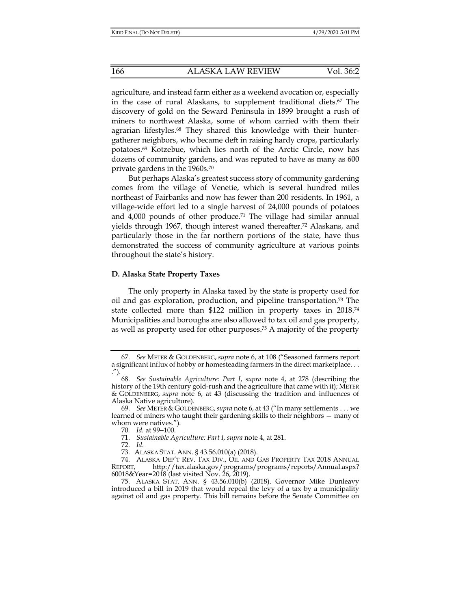agriculture, and instead farm either as a weekend avocation or, especially in the case of rural Alaskans, to supplement traditional diets. $67$  The discovery of gold on the Seward Peninsula in 1899 brought a rush of miners to northwest Alaska, some of whom carried with them their agrarian lifestyles.<sup>68</sup> They shared this knowledge with their huntergatherer neighbors, who became deft in raising hardy crops, particularly potatoes.69 Kotzebue, which lies north of the Arctic Circle, now has dozens of community gardens, and was reputed to have as many as 600 private gardens in the 1960s.70

But perhaps Alaska's greatest success story of community gardening comes from the village of Venetie, which is several hundred miles northeast of Fairbanks and now has fewer than 200 residents. In 1961, a village-wide effort led to a single harvest of 24,000 pounds of potatoes and  $4,000$  pounds of other produce.<sup>71</sup> The village had similar annual yields through 1967, though interest waned thereafter.72 Alaskans, and particularly those in the far northern portions of the state, have thus demonstrated the success of community agriculture at various points throughout the state's history.

#### **D. Alaska State Property Taxes**

The only property in Alaska taxed by the state is property used for oil and gas exploration, production, and pipeline transportation.73 The state collected more than \$122 million in property taxes in 2018.74 Municipalities and boroughs are also allowed to tax oil and gas property, as well as property used for other purposes.75 A majority of the property

 <sup>67.</sup> *See* METER & GOLDENBERG, *supra* note 6, at 108 ("Seasoned farmers report a significant influx of hobby or homesteading farmers in the direct marketplace. . . .").

 <sup>68.</sup> *See Sustainable Agriculture: Part I*, *supra* note 4, at 278 (describing the history of the 19th century gold-rush and the agriculture that came with it); METER & GOLDENBERG, *supra* note 6, at 43 (discussing the tradition and influences of Alaska Native agriculture).

 <sup>69.</sup> *See* METER & GOLDENBERG,*supra* note 6, at 43 ("In many settlements . . . we learned of miners who taught their gardening skills to their neighbors — many of whom were natives.").

<sup>70</sup>*. Id.* at 99−100.

 <sup>71.</sup> *Sustainable Agriculture: Part I*, *supra* note 4, at 281.

 <sup>72.</sup> *Id.*

 <sup>73.</sup> ALASKA STAT. ANN. § 43.56.010(a) (2018).

<sup>74.</sup> ALASKA DEP'T REV. TAX DIV., OIL AND GAS PROPERTY TAX 2018 ANNUAL REPORT, http://tax.alaska.gov/programs/programs/reports/Annual.aspx? 60018&Year=2018 (last visited Nov. 26, 2019).

 <sup>75.</sup> ALASKA STAT. ANN. § 43.56.010(b) (2018). Governor Mike Dunleavy introduced a bill in 2019 that would repeal the levy of a tax by a municipality against oil and gas property. This bill remains before the Senate Committee on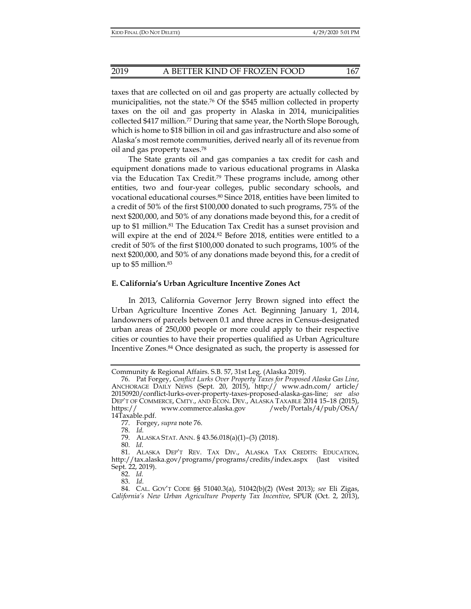taxes that are collected on oil and gas property are actually collected by municipalities, not the state.76 Of the \$545 million collected in property taxes on the oil and gas property in Alaska in 2014, municipalities collected \$417 million.77 During that same year, the North Slope Borough, which is home to \$18 billion in oil and gas infrastructure and also some of Alaska's most remote communities, derived nearly all of its revenue from oil and gas property taxes.78

The State grants oil and gas companies a tax credit for cash and equipment donations made to various educational programs in Alaska via the Education Tax Credit.79 These programs include, among other entities, two and four-year colleges, public secondary schools, and vocational educational courses.80 Since 2018, entities have been limited to a credit of 50% of the first \$100,000 donated to such programs, 75% of the next \$200,000, and 50% of any donations made beyond this, for a credit of up to \$1 million.81 The Education Tax Credit has a sunset provision and will expire at the end of 2024.<sup>82</sup> Before 2018, entities were entitled to a credit of 50% of the first \$100,000 donated to such programs, 100% of the next \$200,000, and 50% of any donations made beyond this, for a credit of up to \$5 million.83

#### **E. California's Urban Agriculture Incentive Zones Act**

In 2013, California Governor Jerry Brown signed into effect the Urban Agriculture Incentive Zones Act. Beginning January 1, 2014, landowners of parcels between 0.1 and three acres in Census-designated urban areas of 250,000 people or more could apply to their respective cities or counties to have their properties qualified as Urban Agriculture Incentive Zones.84 Once designated as such, the property is assessed for

Community & Regional Affairs. S.B. 57, 31st Leg. (Alaska 2019).

 <sup>76.</sup> Pat Forgey, *Conflict Lurks Over Property Taxes for Proposed Alaska Gas Line*, ANCHORAGE DAILY NEWS (Sept. 20, 2015), http:// www.adn.com/ article/ 20150920/conflict-lurks-over-property-taxes-proposed-alaska-gas-line; *see also* DEP'T OF COMMERCE, CMTY., AND ECON. DEV., ALASKA TAXABLE 2014 15–18 (2015), https:// www.commerce.alaska.gov /web/Portals/4/pub/OSA/ 14Taxable.pdf.

 <sup>77.</sup> Forgey, *supra* note 76.

 <sup>78.</sup> *Id.* 

 <sup>79.</sup> ALASKA STAT. ANN. § 43.56.018(a)(1)–(3) (2018).

 <sup>80.</sup> *Id.* 

 <sup>81.</sup> ALASKA DEP'T REV. TAX DIV., ALASKA TAX CREDITS: EDUCATION, http://tax.alaska.gov/programs/programs/credits/index.aspx (last visited Sept. 22, 2019).

 <sup>82.</sup> *Id.*

 <sup>83.</sup> *Id.*

 <sup>84.</sup> CAL. GOV'T CODE §§ 51040.3(a), 51042(b)(2) (West 2013); *see* Eli Zigas, *California's New Urban Agriculture Property Tax Incentive*, SPUR (Oct. 2, 2013),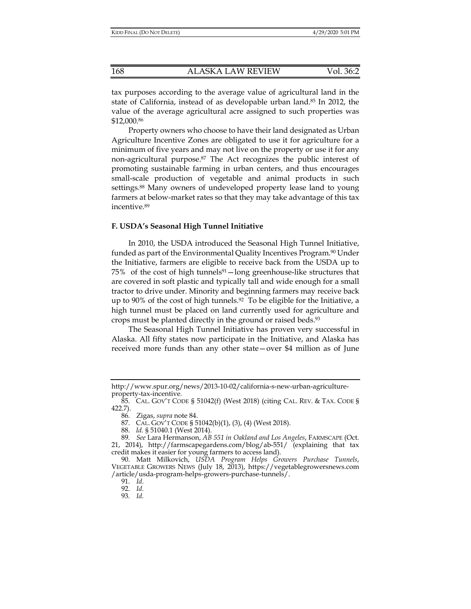tax purposes according to the average value of agricultural land in the state of California, instead of as developable urban land.85 In 2012, the value of the average agricultural acre assigned to such properties was \$12,000.86

Property owners who choose to have their land designated as Urban Agriculture Incentive Zones are obligated to use it for agriculture for a minimum of five years and may not live on the property or use it for any non-agricultural purpose.87 The Act recognizes the public interest of promoting sustainable farming in urban centers, and thus encourages small-scale production of vegetable and animal products in such settings.<sup>88</sup> Many owners of undeveloped property lease land to young farmers at below-market rates so that they may take advantage of this tax incentive.89

#### **F. USDA's Seasonal High Tunnel Initiative**

In 2010, the USDA introduced the Seasonal High Tunnel Initiative, funded as part of the Environmental Quality Incentives Program.<sup>90</sup> Under the Initiative, farmers are eligible to receive back from the USDA up to  $75\%$  of the cost of high tunnels<sup>91</sup> — long greenhouse-like structures that are covered in soft plastic and typically tall and wide enough for a small tractor to drive under. Minority and beginning farmers may receive back up to 90% of the cost of high tunnels.<sup>92</sup> To be eligible for the Initiative, a high tunnel must be placed on land currently used for agriculture and crops must be planted directly in the ground or raised beds.93

The Seasonal High Tunnel Initiative has proven very successful in Alaska. All fifty states now participate in the Initiative, and Alaska has received more funds than any other state—over \$4 million as of June

http://www.spur.org/news/2013-10-02/california-s-new-urban-agricultureproperty-tax-incentive.

 <sup>85.</sup> CAL. GOV'T CODE § 51042(f) (West 2018) (citing CAL. REV. & TAX. CODE § 422.7).

 <sup>86.</sup> Zigas, *supra* note 84.

 <sup>87.</sup> CAL. GOV'T CODE § 51042(b)(1), (3), (4) (West 2018).

 <sup>88.</sup> *Id.* § 51040.1 (West 2014).

<sup>89</sup>*. See* Lara Hermanson, *AB 551 in Oakland and Los Angeles*, FARMSCAPE (Oct. 21, 2014), http://farmscapegardens.com/blog/ab-551/ (explaining that tax credit makes it easier for young farmers to access land).

 <sup>90.</sup> Matt Milkovich, *USDA Program Helps Growers Purchase Tunnels*, VEGETABLE GROWERS NEWS (July 18, 2013), https://vegetablegrowersnews.com /article/usda-program-helps-growers-purchase-tunnels/.

 <sup>91.</sup> *Id.*

 <sup>92.</sup> *Id.*

<sup>93</sup>*. Id.*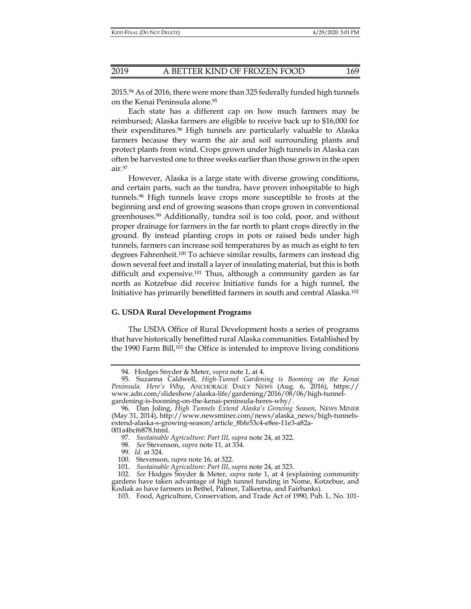2015.94 As of 2016, there were more than 325 federally funded high tunnels on the Kenai Peninsula alone.95

Each state has a different cap on how much farmers may be reimbursed; Alaska farmers are eligible to receive back up to \$16,000 for their expenditures.96 High tunnels are particularly valuable to Alaska farmers because they warm the air and soil surrounding plants and protect plants from wind. Crops grown under high tunnels in Alaska can often be harvested one to three weeks earlier than those grown in the open air.97

However, Alaska is a large state with diverse growing conditions, and certain parts, such as the tundra, have proven inhospitable to high tunnels.98 High tunnels leave crops more susceptible to frosts at the beginning and end of growing seasons than crops grown in conventional greenhouses.99 Additionally, tundra soil is too cold, poor, and without proper drainage for farmers in the far north to plant crops directly in the ground. By instead planting crops in pots or raised beds under high tunnels, farmers can increase soil temperatures by as much as eight to ten degrees Fahrenheit.100 To achieve similar results, farmers can instead dig down several feet and install a layer of insulating material, but this is both difficult and expensive.101 Thus, although a community garden as far north as Kotzebue did receive Initiative funds for a high tunnel, the Initiative has primarily benefitted farmers in south and central Alaska.102

#### **G. USDA Rural Development Programs**

The USDA Office of Rural Development hosts a series of programs that have historically benefitted rural Alaska communities. Established by the 1990 Farm Bill,103 the Office is intended to improve living conditions

 <sup>94.</sup> Hodges Snyder & Meter, *supra* note 1, at 4.

 <sup>95.</sup> Suzanna Caldwell, *High-Tunnel Gardening is Booming on the Kenai Peninsula. Here's Why*, ANCHORAGE DAILY NEWS (Aug. 6, 2016), https:// www.adn.com/slideshow/alaska-life/gardening/2016/08/06/high-tunnelgardening-is-booming-on-the-kenai-peninsula-heres-why/.

 <sup>96.</sup> Dan Joling, *High Tunnels Extend Alaska's Growing Season*, NEWS MINER (May 31, 2014), http://www.newsminer.com/news/alaska\_news/high-tunnelsextend-alaska-s-growing-season/article\_8bfe53c4-e8ee-11e3-a82a-001a4bcf6878.html.

 <sup>97.</sup> *Sustainable Agriculture: Part III*, *supra* note 24, at 322.

<sup>98</sup>*. See* Stevenson, *supra* note 11*,* at 334.

<sup>99</sup>*. Id.* at 324*.* 

 <sup>100.</sup> Stevenson, *supra* note 16, at 322.

 <sup>101.</sup> *Sustainable Agriculture: Part III*, *supra* note 24, at 323*.* 

<sup>102</sup>*. See* Hodges Snyder & Meter, *supra* note 1, at 4 (explaining community gardens have taken advantage of high tunnel funding in Nome, Kotzebue, and Kodiak as have farmers in Bethel, Palmer, Talkeetna, and Fairbanks).

 <sup>103.</sup> Food, Agriculture, Conservation, and Trade Act of 1990, Pub. L. No. 101-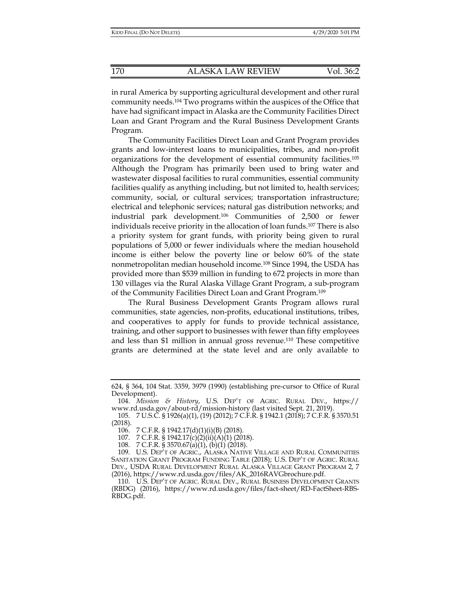in rural America by supporting agricultural development and other rural community needs.104 Two programs within the auspices of the Office that have had significant impact in Alaska are the Community Facilities Direct Loan and Grant Program and the Rural Business Development Grants Program.

The Community Facilities Direct Loan and Grant Program provides grants and low-interest loans to municipalities, tribes, and non-profit organizations for the development of essential community facilities.105 Although the Program has primarily been used to bring water and wastewater disposal facilities to rural communities, essential community facilities qualify as anything including, but not limited to, health services; community, social, or cultural services; transportation infrastructure; electrical and telephonic services; natural gas distribution networks; and industrial park development.106 Communities of 2,500 or fewer individuals receive priority in the allocation of loan funds.107 There is also a priority system for grant funds, with priority being given to rural populations of 5,000 or fewer individuals where the median household income is either below the poverty line or below 60% of the state nonmetropolitan median household income.108 Since 1994, the USDA has provided more than \$539 million in funding to 672 projects in more than 130 villages via the Rural Alaska Village Grant Program, a sub-program of the Community Facilities Direct Loan and Grant Program.109

The Rural Business Development Grants Program allows rural communities, state agencies, non-profits, educational institutions, tribes, and cooperatives to apply for funds to provide technical assistance, training, and other support to businesses with fewer than fifty employees and less than \$1 million in annual gross revenue.110 These competitive grants are determined at the state level and are only available to

108. 7 C.F.R. § 3570.67(a)(1), (b)(1) (2018).

<sup>624, § 364, 104</sup> Stat. 3359, 3979 (1990) (establishing pre-cursor to Office of Rural Development).

 <sup>104.</sup> *Mission & History*, U.S. DEP'T OF AGRIC. RURAL DEV., https:// www.rd.usda.gov/about-rd/mission-history (last visited Sept. 21, 2019).

 <sup>105. 7</sup> U.S.C. § 1926(a)(1), (19) (2012); 7 C.F.R. § 1942.1 (2018); 7 C.F.R. § 3570.51 (2018).

 <sup>106. 7</sup> C.F.R. § 1942.17(d)(1)(i)(B) (2018).

<sup>107. 7</sup> C.F.R. § 1942.17(c)(2)(ii)(A)(1) (2018).

 <sup>109.</sup> U.S. DEP'T OF AGRIC., ALASKA NATIVE VILLAGE AND RURAL COMMUNITIES SANITATION GRANT PROGRAM FUNDING TABLE (2018); U.S. DEP'T OF AGRIC. RURAL DEV., USDA RURAL DEVELOPMENT RURAL ALASKA VILLAGE GRANT PROGRAM 2, 7 (2016), https://www.rd.usda.gov/files/AK\_2016RAVGbrochure.pdf.

 <sup>110.</sup> U.S. DEP'T OF AGRIC. RURAL DEV., RURAL BUSINESS DEVELOPMENT GRANTS (RBDG) (2016), https://www.rd.usda.gov/files/fact-sheet/RD-FactSheet-RBS-RBDG.pdf.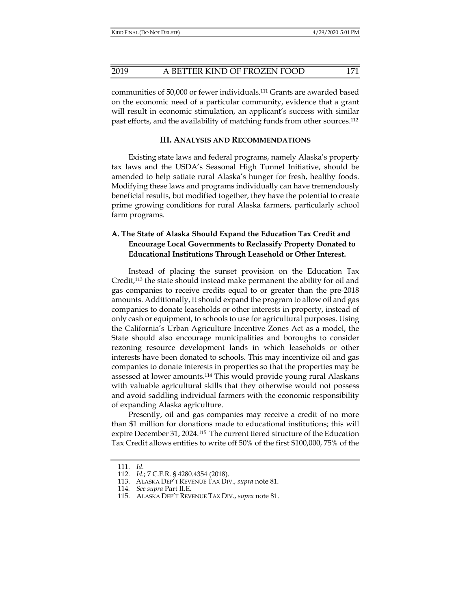communities of 50,000 or fewer individuals.111 Grants are awarded based on the economic need of a particular community, evidence that a grant will result in economic stimulation, an applicant's success with similar past efforts, and the availability of matching funds from other sources.112

#### **III. ANALYSIS AND RECOMMENDATIONS**

Existing state laws and federal programs, namely Alaska's property tax laws and the USDA's Seasonal High Tunnel Initiative, should be amended to help satiate rural Alaska's hunger for fresh, healthy foods. Modifying these laws and programs individually can have tremendously beneficial results, but modified together, they have the potential to create prime growing conditions for rural Alaska farmers, particularly school farm programs.

### **A. The State of Alaska Should Expand the Education Tax Credit and Encourage Local Governments to Reclassify Property Donated to Educational Institutions Through Leasehold or Other Interest.**

Instead of placing the sunset provision on the Education Tax Credit,113 the state should instead make permanent the ability for oil and gas companies to receive credits equal to or greater than the pre-2018 amounts. Additionally, it should expand the program to allow oil and gas companies to donate leaseholds or other interests in property, instead of only cash or equipment, to schools to use for agricultural purposes. Using the California's Urban Agriculture Incentive Zones Act as a model, the State should also encourage municipalities and boroughs to consider rezoning resource development lands in which leaseholds or other interests have been donated to schools. This may incentivize oil and gas companies to donate interests in properties so that the properties may be assessed at lower amounts.114 This would provide young rural Alaskans with valuable agricultural skills that they otherwise would not possess and avoid saddling individual farmers with the economic responsibility of expanding Alaska agriculture.

Presently, oil and gas companies may receive a credit of no more than \$1 million for donations made to educational institutions; this will expire December 31, 2024.115 The current tiered structure of the Education Tax Credit allows entities to write off 50% of the first \$100,000, 75% of the

 <sup>111.</sup> *Id.*

 <sup>112.</sup> *Id.*; 7 C.F.R. § 4280.4354 (2018).

 <sup>113.</sup> ALASKA DEP'T REVENUE TAX DIV., *supra* note 81.

<sup>114</sup>*. See supra* Part II.E.

 <sup>115.</sup> ALASKA DEP'T REVENUE TAX DIV., *supra* note 81.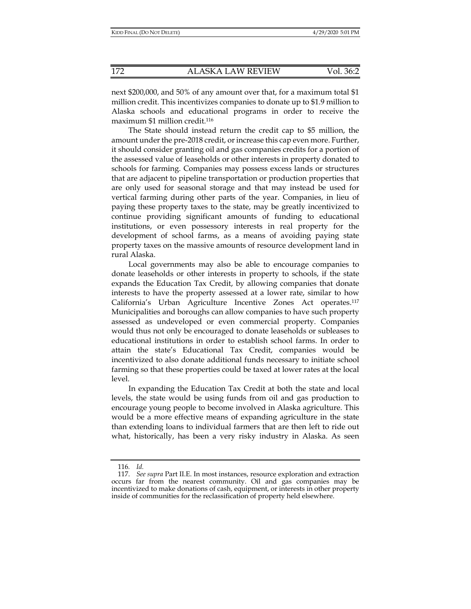next \$200,000, and 50% of any amount over that, for a maximum total \$1 million credit. This incentivizes companies to donate up to \$1.9 million to Alaska schools and educational programs in order to receive the maximum \$1 million credit.116

The State should instead return the credit cap to \$5 million, the amount under the pre-2018 credit, or increase this cap even more. Further, it should consider granting oil and gas companies credits for a portion of the assessed value of leaseholds or other interests in property donated to schools for farming. Companies may possess excess lands or structures that are adjacent to pipeline transportation or production properties that are only used for seasonal storage and that may instead be used for vertical farming during other parts of the year. Companies, in lieu of paying these property taxes to the state, may be greatly incentivized to continue providing significant amounts of funding to educational institutions, or even possessory interests in real property for the development of school farms, as a means of avoiding paying state property taxes on the massive amounts of resource development land in rural Alaska.

Local governments may also be able to encourage companies to donate leaseholds or other interests in property to schools, if the state expands the Education Tax Credit, by allowing companies that donate interests to have the property assessed at a lower rate, similar to how California's Urban Agriculture Incentive Zones Act operates.117 Municipalities and boroughs can allow companies to have such property assessed as undeveloped or even commercial property. Companies would thus not only be encouraged to donate leaseholds or subleases to educational institutions in order to establish school farms. In order to attain the state's Educational Tax Credit, companies would be incentivized to also donate additional funds necessary to initiate school farming so that these properties could be taxed at lower rates at the local level.

In expanding the Education Tax Credit at both the state and local levels, the state would be using funds from oil and gas production to encourage young people to become involved in Alaska agriculture. This would be a more effective means of expanding agriculture in the state than extending loans to individual farmers that are then left to ride out what, historically, has been a very risky industry in Alaska. As seen

<sup>116</sup>*. Id.*

 <sup>117.</sup> *See supra* Part II.E. In most instances, resource exploration and extraction occurs far from the nearest community. Oil and gas companies may be incentivized to make donations of cash, equipment, or interests in other property inside of communities for the reclassification of property held elsewhere.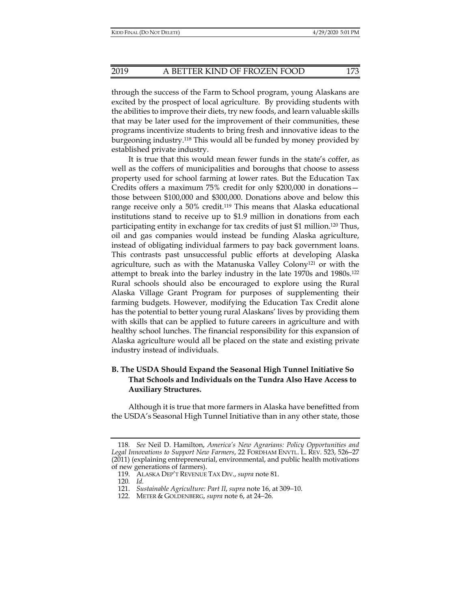through the success of the Farm to School program, young Alaskans are excited by the prospect of local agriculture. By providing students with the abilities to improve their diets, try new foods, and learn valuable skills that may be later used for the improvement of their communities, these programs incentivize students to bring fresh and innovative ideas to the burgeoning industry.118 This would all be funded by money provided by established private industry.

It is true that this would mean fewer funds in the state's coffer, as well as the coffers of municipalities and boroughs that choose to assess property used for school farming at lower rates. But the Education Tax Credits offers a maximum 75% credit for only \$200,000 in donations those between \$100,000 and \$300,000. Donations above and below this range receive only a 50% credit.<sup>119</sup> This means that Alaska educational institutions stand to receive up to \$1.9 million in donations from each participating entity in exchange for tax credits of just \$1 million.120 Thus, oil and gas companies would instead be funding Alaska agriculture, instead of obligating individual farmers to pay back government loans. This contrasts past unsuccessful public efforts at developing Alaska agriculture, such as with the Matanuska Valley Colony121 or with the attempt to break into the barley industry in the late 1970s and 1980s.122 Rural schools should also be encouraged to explore using the Rural Alaska Village Grant Program for purposes of supplementing their farming budgets. However, modifying the Education Tax Credit alone has the potential to better young rural Alaskans' lives by providing them with skills that can be applied to future careers in agriculture and with healthy school lunches. The financial responsibility for this expansion of Alaska agriculture would all be placed on the state and existing private industry instead of individuals.

## **B. The USDA Should Expand the Seasonal High Tunnel Initiative So That Schools and Individuals on the Tundra Also Have Access to Auxiliary Structures.**

Although it is true that more farmers in Alaska have benefitted from the USDA's Seasonal High Tunnel Initiative than in any other state, those

<sup>118</sup>*. See* Neil D. Hamilton, *America's New Agrarians: Policy Opportunities and Legal Innovations to Support New Farmers*, 22 FORDHAM ENVTL. L. REV. 523, 526−27 (2011) (explaining entrepreneurial, environmental, and public health motivations of new generations of farmers).

 <sup>119.</sup> ALASKA DEP'T REVENUE TAX DIV., *supra* note 81.

<sup>120</sup>*. Id.*

 <sup>121.</sup> *Sustainable Agriculture: Part II*, *supra* note 16, at 309−10.

 <sup>122.</sup> METER & GOLDENBERG, *supra* note 6, at 24−26.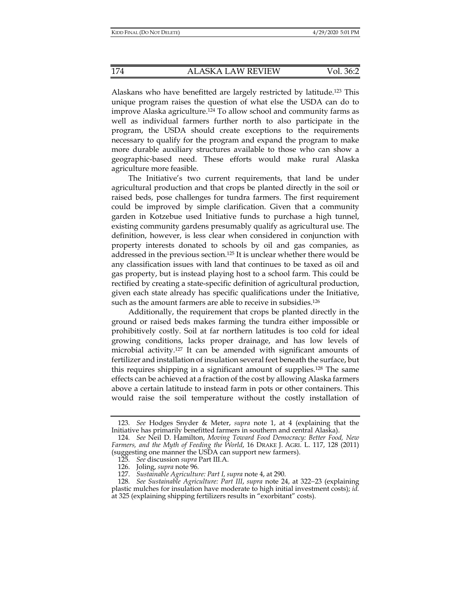Alaskans who have benefitted are largely restricted by latitude.123 This unique program raises the question of what else the USDA can do to improve Alaska agriculture.124 To allow school and community farms as well as individual farmers further north to also participate in the program, the USDA should create exceptions to the requirements necessary to qualify for the program and expand the program to make more durable auxiliary structures available to those who can show a geographic-based need. These efforts would make rural Alaska agriculture more feasible.

The Initiative's two current requirements, that land be under agricultural production and that crops be planted directly in the soil or raised beds, pose challenges for tundra farmers. The first requirement could be improved by simple clarification. Given that a community garden in Kotzebue used Initiative funds to purchase a high tunnel, existing community gardens presumably qualify as agricultural use. The definition, however, is less clear when considered in conjunction with property interests donated to schools by oil and gas companies, as addressed in the previous section.125 It is unclear whether there would be any classification issues with land that continues to be taxed as oil and gas property, but is instead playing host to a school farm. This could be rectified by creating a state-specific definition of agricultural production, given each state already has specific qualifications under the Initiative, such as the amount farmers are able to receive in subsidies.<sup>126</sup>

Additionally, the requirement that crops be planted directly in the ground or raised beds makes farming the tundra either impossible or prohibitively costly. Soil at far northern latitudes is too cold for ideal growing conditions, lacks proper drainage, and has low levels of microbial activity.127 It can be amended with significant amounts of fertilizer and installation of insulation several feet beneath the surface, but this requires shipping in a significant amount of supplies.128 The same effects can be achieved at a fraction of the cost by allowing Alaska farmers above a certain latitude to instead farm in pots or other containers. This would raise the soil temperature without the costly installation of

<sup>123</sup>*. See* Hodges Snyder & Meter, *supra* note 1, at 4 (explaining that the Initiative has primarily benefitted farmers in southern and central Alaska).

<sup>124</sup>*. See* Neil D. Hamilton, *Moving Toward Food Democracy: Better Food, New Farmers, and the Myth of Feeding the World*, 16 DRAKE J. AGRI. L. 117, 128 (2011) (suggesting one manner the USDA can support new farmers).

<sup>125</sup>*. See* discussion *supra* Part III.A.

 <sup>126.</sup> Joling, *supra* note 96*.*

 <sup>127.</sup> *Sustainable Agriculture: Part I*, *supra* note 4, at 290.

<sup>128</sup>*. See Sustainable Agriculture: Part III*, *supra* note 24, at 322−23 (explaining plastic mulches for insulation have moderate to high initial investment costs); *id.*  at 325 (explaining shipping fertilizers results in "exorbitant" costs).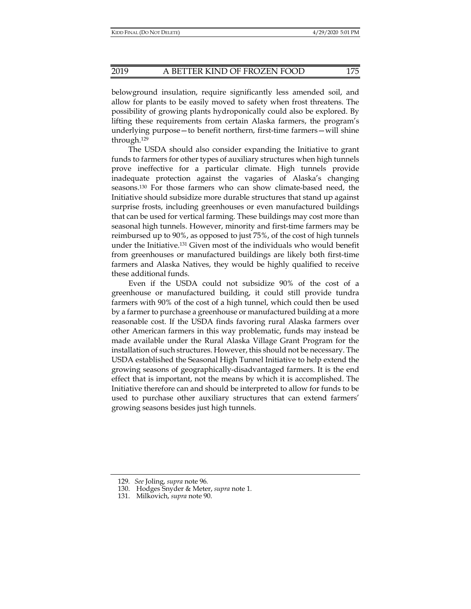belowground insulation, require significantly less amended soil, and allow for plants to be easily moved to safety when frost threatens. The possibility of growing plants hydroponically could also be explored. By lifting these requirements from certain Alaska farmers, the program's underlying purpose—to benefit northern, first-time farmers—will shine through.129

The USDA should also consider expanding the Initiative to grant funds to farmers for other types of auxiliary structures when high tunnels prove ineffective for a particular climate. High tunnels provide inadequate protection against the vagaries of Alaska's changing seasons.130 For those farmers who can show climate-based need, the Initiative should subsidize more durable structures that stand up against surprise frosts, including greenhouses or even manufactured buildings that can be used for vertical farming. These buildings may cost more than seasonal high tunnels. However, minority and first-time farmers may be reimbursed up to 90%, as opposed to just 75%, of the cost of high tunnels under the Initiative.131 Given most of the individuals who would benefit from greenhouses or manufactured buildings are likely both first-time farmers and Alaska Natives, they would be highly qualified to receive these additional funds.

Even if the USDA could not subsidize 90% of the cost of a greenhouse or manufactured building, it could still provide tundra farmers with 90% of the cost of a high tunnel, which could then be used by a farmer to purchase a greenhouse or manufactured building at a more reasonable cost. If the USDA finds favoring rural Alaska farmers over other American farmers in this way problematic, funds may instead be made available under the Rural Alaska Village Grant Program for the installation of such structures. However, this should not be necessary. The USDA established the Seasonal High Tunnel Initiative to help extend the growing seasons of geographically-disadvantaged farmers. It is the end effect that is important, not the means by which it is accomplished. The Initiative therefore can and should be interpreted to allow for funds to be used to purchase other auxiliary structures that can extend farmers' growing seasons besides just high tunnels.

<sup>129</sup>*. See* Joling, *supra* note 96*.*

 <sup>130.</sup> Hodges Snyder & Meter, *supra* note 1*.*

 <sup>131.</sup> Milkovich, *supra* note 90.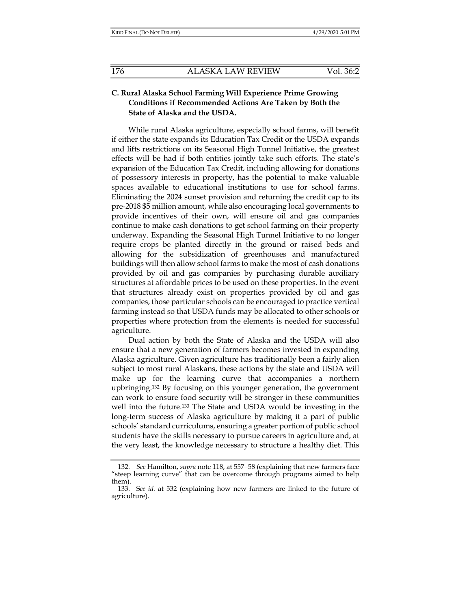## **C. Rural Alaska School Farming Will Experience Prime Growing Conditions if Recommended Actions Are Taken by Both the State of Alaska and the USDA.**

While rural Alaska agriculture, especially school farms, will benefit if either the state expands its Education Tax Credit or the USDA expands and lifts restrictions on its Seasonal High Tunnel Initiative, the greatest effects will be had if both entities jointly take such efforts. The state's expansion of the Education Tax Credit, including allowing for donations of possessory interests in property, has the potential to make valuable spaces available to educational institutions to use for school farms. Eliminating the 2024 sunset provision and returning the credit cap to its pre-2018 \$5 million amount, while also encouraging local governments to provide incentives of their own, will ensure oil and gas companies continue to make cash donations to get school farming on their property underway. Expanding the Seasonal High Tunnel Initiative to no longer require crops be planted directly in the ground or raised beds and allowing for the subsidization of greenhouses and manufactured buildings will then allow school farms to make the most of cash donations provided by oil and gas companies by purchasing durable auxiliary structures at affordable prices to be used on these properties. In the event that structures already exist on properties provided by oil and gas companies, those particular schools can be encouraged to practice vertical farming instead so that USDA funds may be allocated to other schools or properties where protection from the elements is needed for successful agriculture.

Dual action by both the State of Alaska and the USDA will also ensure that a new generation of farmers becomes invested in expanding Alaska agriculture. Given agriculture has traditionally been a fairly alien subject to most rural Alaskans, these actions by the state and USDA will make up for the learning curve that accompanies a northern upbringing.132 By focusing on this younger generation, the government can work to ensure food security will be stronger in these communities well into the future.133 The State and USDA would be investing in the long-term success of Alaska agriculture by making it a part of public schools' standard curriculums, ensuring a greater portion of public school students have the skills necessary to pursue careers in agriculture and, at the very least, the knowledge necessary to structure a healthy diet. This

 <sup>132.</sup> *See* Hamilton, *supra* note 118, at 557−58 (explaining that new farmers face "steep learning curve" that can be overcome through programs aimed to help them).

 <sup>133.</sup> S*ee id.* at 532 (explaining how new farmers are linked to the future of agriculture).